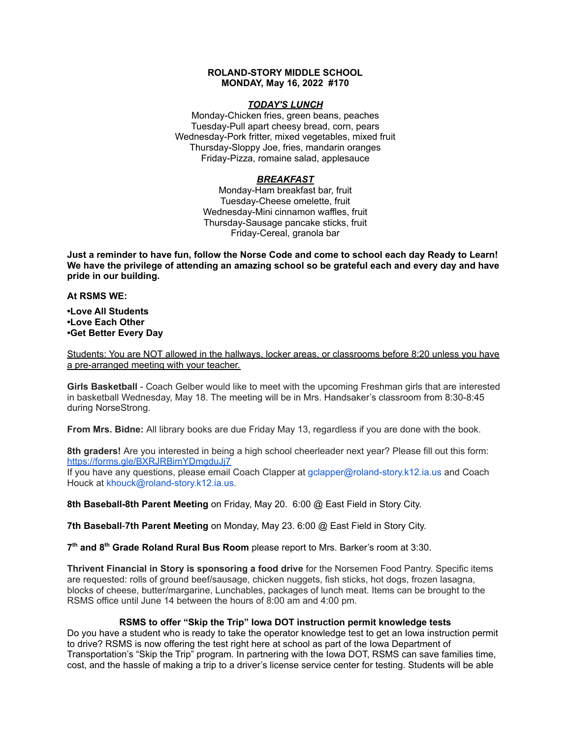## **ROLAND-STORY MIDDLE SCHOOL MONDAY, May 16, 2022 #170**

## *TODAY'S LUNCH*

Monday-Chicken fries, green beans, peaches Tuesday-Pull apart cheesy bread, corn, pears Wednesday-Pork fritter, mixed vegetables, mixed fruit Thursday-Sloppy Joe, fries, mandarin oranges Friday-Pizza, romaine salad, applesauce

## *BREAKFAST*

Monday-Ham breakfast bar, fruit Tuesday-Cheese omelette, fruit Wednesday-Mini cinnamon waffles, fruit Thursday-Sausage pancake sticks, fruit Friday-Cereal, granola bar

Just a reminder to have fun, follow the Norse Code and come to school each day Ready to Learn! **We have the privilege of attending an amazing school so be grateful each and every day and have pride in our building.**

#### **At RSMS WE:**

**•Love All Students •Love Each Other •Get Better Every Day**

Students: You are NOT allowed in the hallways, locker areas, or classrooms before 8:20 unless you have a pre-arranged meeting with your teacher.

**Girls Basketball** - Coach Gelber would like to meet with the upcoming Freshman girls that are interested in basketball Wednesday, May 18. The meeting will be in Mrs. Handsaker's classroom from 8:30-8:45 during NorseStrong.

**From Mrs. Bidne:** All library books are due Friday May 13, regardless if you are done with the book.

**8th graders!** Are you interested in being a high school cheerleader next year? Please fill out this form[:](https://forms.gle/BXRJRBimYDmgduJj7) <https://forms.gle/BXRJRBimYDmgduJj7>

If you have any questions, please email Coach Clapper at gclapper@roland-story.k12.ia.us and Coach Houck at khouck@roland-story.k12.ia.us.

**8th Baseball-8th Parent Meeting** on Friday, May 20. 6:00 @ East Field in Story City.

**7th Baseball**-**7th Parent Meeting** on Monday, May 23. 6:00 @ East Field in Story City.

**7 th and 8 th Grade Roland Rural Bus Room** please report to Mrs. Barker's room at 3:30.

**Thrivent Financial in Story is sponsoring a food drive** for the Norsemen Food Pantry. Specific items are requested: rolls of ground beef/sausage, chicken nuggets, fish sticks, hot dogs, frozen lasagna, blocks of cheese, butter/margarine, Lunchables, packages of lunch meat. Items can be brought to the RSMS office until June 14 between the hours of 8:00 am and 4:00 pm.

# **RSMS to offer "Skip the Trip" Iowa DOT instruction permit knowledge tests**

Do you have a student who is ready to take the operator knowledge test to get an Iowa instruction permit to drive? RSMS is now offering the test right here at school as part of the Iowa Department of Transportation's "Skip the Trip" program. In partnering with the Iowa DOT, RSMS can save families time, cost, and the hassle of making a trip to a driver's license service center for testing. Students will be able